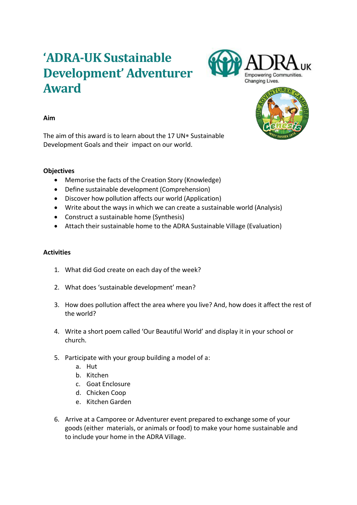# **'ADRA-UK Sustainable Development' Adventurer Award**





# **Aim**

The aim of this award is to learn about the 17 UN $*$  Sustainable Development Goals and their impact on our world.

# **Objectives**

- Memorise the facts of the Creation Story (Knowledge)
- Define sustainable development (Comprehension)
- Discover how pollution affects our world (Application)
- Write about the ways in which we can create a sustainable world (Analysis)
- Construct a sustainable home (Synthesis)
- Attach their sustainable home to the ADRA Sustainable Village (Evaluation)

# **Activities**

- 1. What did God create on each day of the week?
- 2. What does 'sustainable development' mean?
- 3. How does pollution affect the area where you live? And, how does it affect the rest of the world?
- 4. Write a short poem called 'Our Beautiful World' and display it in your school or church.
- 5. Participate with your group building a model of a:
	- a. Hut
	- b. Kitchen
	- c. Goat Enclosure
	- d. Chicken Coop
	- e. Kitchen Garden
- 6. Arrive at a Camporee or Adventurer event prepared to exchange some of your goods (either materials, or animals or food) to make your home sustainable and to include your home in the ADRA Village.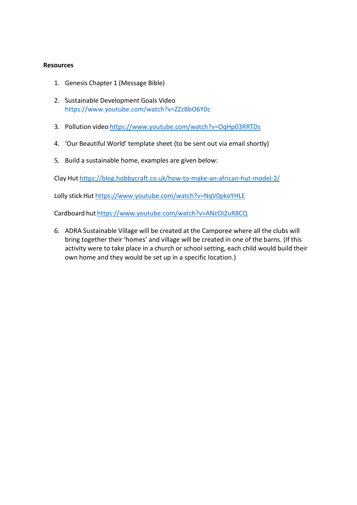# **Resources**

- 1. Genesis Chapter 1 (Message Bible)
- 2. Sustainable Development Goals Video https://www.youtube.com/watch?v=ZZzBbO6Y0c
- 3. Pollution video https:/[/www.youtube.com/watch?v=OqHp03RRTDs](http://www.youtube.com/watch?v=OqHp03RRTDs)
- 4. 'Our Beautiful World' template sheet (to be sent out via email shortly)
- 5. Build a sustainable home, examples are given below:

Clay Hut https://blog.hobbycraft.co.uk/how-to-make-an-african-hut-model-2/

Lolly stick Hut https:/[/www.youtube.com/watch?v=NqV0pkoYHLE](http://www.youtube.com/watch?v=NqV0pkoYHLE)

Cardboard hut https:/[/www.youtube.com/watch?v=ANcOI2uR8CQ](http://www.youtube.com/watch?v=ANcOI2uR8CQ)

6. ADRA Sustainable Village will be created at the Camporee where all the clubs will bring together their 'homes' and village will be created in one of the barns. (If this activity were to take place in a church or school setting, each child would build their own home and they would be set up in a specific location.)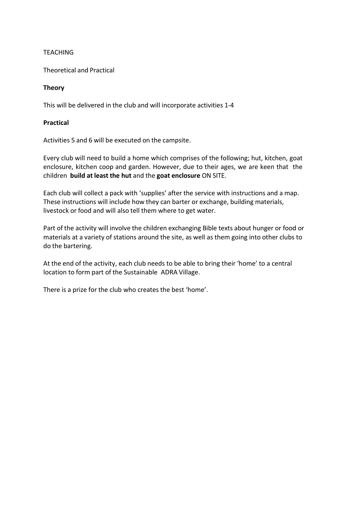# **TEACHING**

Theoretical and Practical

# **Theory**

This will be delivered in the club and will incorporate activities 1-4

# **Practical**

Activities 5 and 6 will be executed on the campsite.

Every club will need to build a home which comprises of the following; hut, kitchen, goat enclosure, kitchen coop and garden. However, due to their ages, we are keen that the children **build at least the hut** and the **goat enclosure** ON SITE.

Each club will collect a pack with 'supplies' after the service with instructions and a map. These instructions will include how they can barter or exchange, building materials, livestock or food and will also tell them where to get water.

Part of the activity will involve the children exchanging Bible texts about hunger or food or materials at a variety of stations around the site, as well as them going into other clubs to do the bartering.

At the end of the activity, each club needs to be able to bring their 'home' to a central location to form part of the Sustainable ADRA Village.

There is a prize for the club who creates the best 'home'.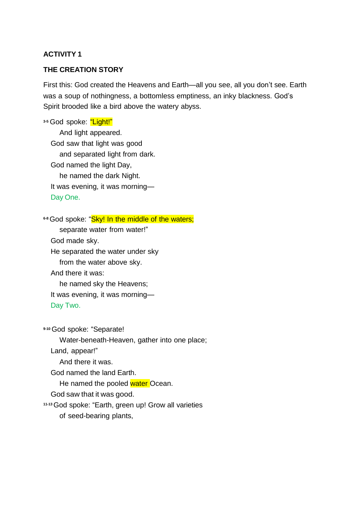# **ACTIVITY 1**

# **THE CREATION STORY**

First this: God created the Heavens and Earth—all you see, all you don't see. Earth was a soup of nothingness, a bottomless emptiness, an inky blackness. God's Spirit brooded like a bird above the watery abyss.

**3-5** God spoke: "Light!" And light appeared. God saw that light was good and separated light from dark. God named the light Day, he named the dark Night. It was evening, it was morning— Day One.

**6-8** God spoke: "Sky! In the middle of the waters;

separate water from water!"

God made sky.

He separated the water under sky

from the water above sky.

And there it was:

he named sky the Heavens;

It was evening, it was morning—

Day Two.

**9-10** God spoke: "Separate!

Water-beneath-Heaven, gather into one place;

Land, appear!"

And there it was.

God named the land Earth.

He named the pooled water Ocean.

God saw that it was good.

**11-13**God spoke: "Earth, green up! Grow all varieties

of seed-bearing plants,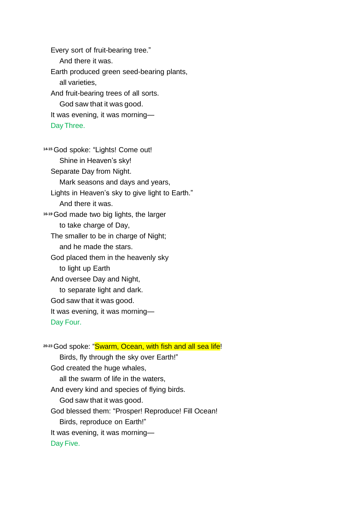Every sort of fruit-bearing tree." And there it was. Earth produced green seed-bearing plants, all varieties, And fruit-bearing trees of all sorts. God saw that it was good. It was evening, it was morning— Day Three.

**14-15** God spoke: "Lights! Come out! Shine in Heaven's sky! Separate Day from Night. Mark seasons and days and years, Lights in Heaven's sky to give light to Earth." And there it was. **16-19**God made two big lights, the larger to take charge of Day, The smaller to be in charge of Night; and he made the stars. God placed them in the heavenly sky to light up Earth And oversee Day and Night, to separate light and dark. God saw that it was good. It was evening, it was morning— Day Four.

**20-23**God spoke: "Swarm, Ocean, with fish and all sea life! Birds, fly through the sky over Earth!" God created the huge whales, all the swarm of life in the waters, And every kind and species of flying birds. God saw that it was good. God blessed them: "Prosper! Reproduce! Fill Ocean! Birds, reproduce on Earth!" It was evening, it was morning— Day Five.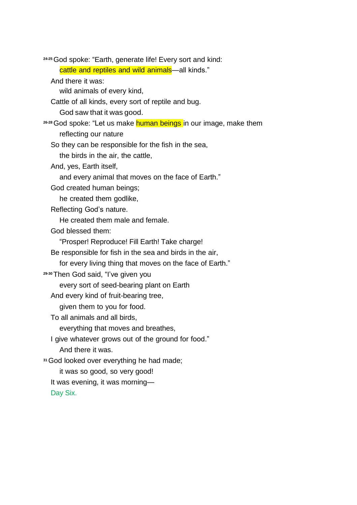**24-25**God spoke: "Earth, generate life! Every sort and kind:

cattle and reptiles and wild animals—all kinds."

And there it was:

wild animals of every kind,

Cattle of all kinds, every sort of reptile and bug.

God saw that it was good.

**26-28**God spoke: "Let us make human beings in our image, make them reflecting our nature

So they can be responsible for the fish in the sea,

the birds in the air, the cattle,

And, yes, Earth itself,

and every animal that moves on the face of Earth."

God created human beings;

he created them godlike,

Reflecting God's nature.

He created them male and female.

God blessed them:

"Prosper! Reproduce! Fill Earth! Take charge!

Be responsible for fish in the sea and birds in the air,

for every living thing that moves on the face of Earth."

**29-30**Then God said, "I've given you

every sort of seed-bearing plant on Earth

And every kind of fruit-bearing tree,

given them to you for food.

To all animals and all birds,

everything that moves and breathes,

I give whatever grows out of the ground for food." And there it was.

**<sup>31</sup>**God looked over everything he had made;

it was so good, so very good!

It was evening, it was morning—

Day Six.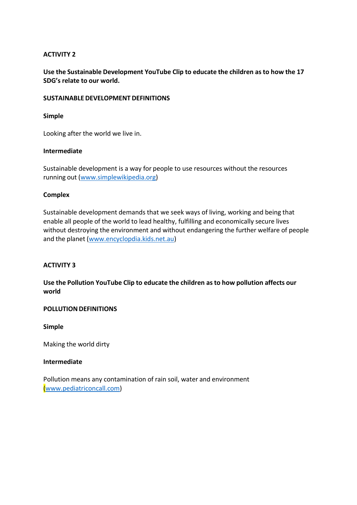# **ACTIVITY 2**

**Use the Sustainable Development YouTube Clip to educate the children as to how the 17 SDG's relate to our world.**

#### **SUSTAINABLEDEVELOPMENT DEFINITIONS**

#### **Simple**

Looking after the world we live in.

#### **Intermediate**

Sustainable development is a way for people to use resources without the resources running out (www.simplewikipedia.org)

#### **Complex**

Sustainable development demands that we seek ways of living, working and being that enable all people of the world to lead healthy, fulfilling and economically secure lives without destroying the environment and without endangering the further welfare of people and the planet (www.encyclopdia.kids.net.au)

#### **ACTIVITY 3**

**Use the Pollution YouTube Clip to educate the children as to how pollution affects our world**

#### **POLLUTION DEFINITIONS**

**Simple**

Making the world dirty

#### **Intermediate**

Pollution means any contamination of rain soil, water and environment [\(www.pediatriconcall.com\)](http://www.pediatriconcall.com/kids-corner))